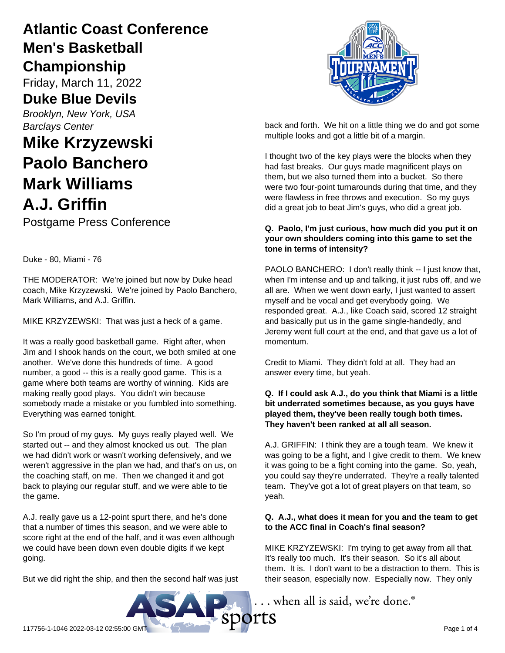## **Atlantic Coast Conference Men's Basketball Championship**

Friday, March 11, 2022

### **Duke Blue Devils**

*Brooklyn, New York, USA Barclays Center*

# **Mike Krzyzewski Paolo Banchero Mark Williams A.J. Griffin**

Postgame Press Conference

Duke - 80, Miami - 76

THE MODERATOR: We're joined but now by Duke head coach, Mike Krzyzewski. We're joined by Paolo Banchero, Mark Williams, and A.J. Griffin.

MIKE KRZYZEWSKI: That was just a heck of a game.

It was a really good basketball game. Right after, when Jim and I shook hands on the court, we both smiled at one another. We've done this hundreds of time. A good number, a good -- this is a really good game. This is a game where both teams are worthy of winning. Kids are making really good plays. You didn't win because somebody made a mistake or you fumbled into something. Everything was earned tonight.

So I'm proud of my guys. My guys really played well. We started out -- and they almost knocked us out. The plan we had didn't work or wasn't working defensively, and we weren't aggressive in the plan we had, and that's on us, on the coaching staff, on me. Then we changed it and got back to playing our regular stuff, and we were able to tie the game.

A.J. really gave us a 12-point spurt there, and he's done that a number of times this season, and we were able to score right at the end of the half, and it was even although we could have been down even double digits if we kept going.

But we did right the ship, and then the second half was just



back and forth. We hit on a little thing we do and got some multiple looks and got a little bit of a margin.

I thought two of the key plays were the blocks when they had fast breaks. Our guys made magnificent plays on them, but we also turned them into a bucket. So there were two four-point turnarounds during that time, and they were flawless in free throws and execution. So my guys did a great job to beat Jim's guys, who did a great job.

#### **Q. Paolo, I'm just curious, how much did you put it on your own shoulders coming into this game to set the tone in terms of intensity?**

PAOLO BANCHERO: I don't really think -- I just know that, when I'm intense and up and talking, it just rubs off, and we all are. When we went down early, I just wanted to assert myself and be vocal and get everybody going. We responded great. A.J., like Coach said, scored 12 straight and basically put us in the game single-handedly, and Jeremy went full court at the end, and that gave us a lot of momentum.

Credit to Miami. They didn't fold at all. They had an answer every time, but yeah.

#### **Q. If I could ask A.J., do you think that Miami is a little bit underrated sometimes because, as you guys have played them, they've been really tough both times. They haven't been ranked at all all season.**

A.J. GRIFFIN: I think they are a tough team. We knew it was going to be a fight, and I give credit to them. We knew it was going to be a fight coming into the game. So, yeah, you could say they're underrated. They're a really talented team. They've got a lot of great players on that team, so yeah.

#### **Q. A.J., what does it mean for you and the team to get to the ACC final in Coach's final season?**

MIKE KRZYZEWSKI: I'm trying to get away from all that. It's really too much. It's their season. So it's all about them. It is. I don't want to be a distraction to them. This is their season, especially now. Especially now. They only

... when all is said, we're done.<sup>®</sup>

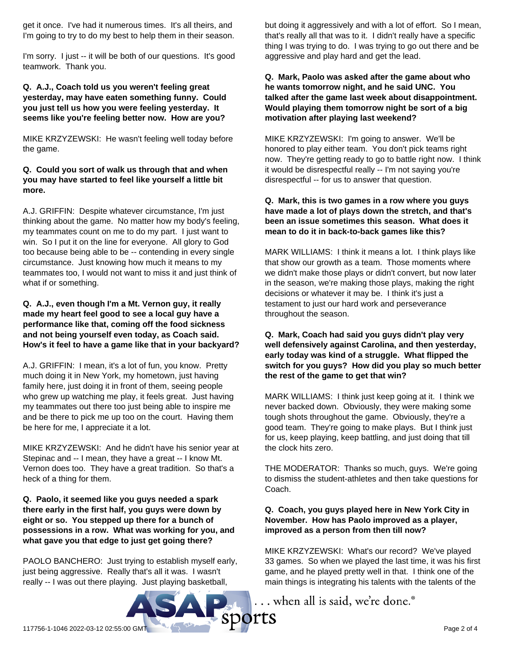get it once. I've had it numerous times. It's all theirs, and I'm going to try to do my best to help them in their season.

I'm sorry. I just -- it will be both of our questions. It's good teamwork. Thank you.

#### **Q. A.J., Coach told us you weren't feeling great yesterday, may have eaten something funny. Could you just tell us how you were feeling yesterday. It seems like you're feeling better now. How are you?**

MIKE KRZYZEWSKI: He wasn't feeling well today before the game.

#### **Q. Could you sort of walk us through that and when you may have started to feel like yourself a little bit more.**

A.J. GRIFFIN: Despite whatever circumstance, I'm just thinking about the game. No matter how my body's feeling, my teammates count on me to do my part. I just want to win. So I put it on the line for everyone. All glory to God too because being able to be -- contending in every single circumstance. Just knowing how much it means to my teammates too, I would not want to miss it and just think of what if or something.

#### **Q. A.J., even though I'm a Mt. Vernon guy, it really made my heart feel good to see a local guy have a performance like that, coming off the food sickness and not being yourself even today, as Coach said. How's it feel to have a game like that in your backyard?**

A.J. GRIFFIN: I mean, it's a lot of fun, you know. Pretty much doing it in New York, my hometown, just having family here, just doing it in front of them, seeing people who grew up watching me play, it feels great. Just having my teammates out there too just being able to inspire me and be there to pick me up too on the court. Having them be here for me, I appreciate it a lot.

MIKE KRZYZEWSKI: And he didn't have his senior year at Stepinac and -- I mean, they have a great -- I know Mt. Vernon does too. They have a great tradition. So that's a heck of a thing for them.

#### **Q. Paolo, it seemed like you guys needed a spark there early in the first half, you guys were down by eight or so. You stepped up there for a bunch of possessions in a row. What was working for you, and what gave you that edge to just get going there?**

PAOLO BANCHERO: Just trying to establish myself early, just being aggressive. Really that's all it was. I wasn't really -- I was out there playing. Just playing basketball,

but doing it aggressively and with a lot of effort. So I mean, that's really all that was to it. I didn't really have a specific thing I was trying to do. I was trying to go out there and be aggressive and play hard and get the lead.

#### **Q. Mark, Paolo was asked after the game about who he wants tomorrow night, and he said UNC. You talked after the game last week about disappointment. Would playing them tomorrow night be sort of a big motivation after playing last weekend?**

MIKE KRZYZEWSKI: I'm going to answer. We'll be honored to play either team. You don't pick teams right now. They're getting ready to go to battle right now. I think it would be disrespectful really -- I'm not saying you're disrespectful -- for us to answer that question.

#### **Q. Mark, this is two games in a row where you guys have made a lot of plays down the stretch, and that's been an issue sometimes this season. What does it mean to do it in back-to-back games like this?**

MARK WILLIAMS: I think it means a lot. I think plays like that show our growth as a team. Those moments where we didn't make those plays or didn't convert, but now later in the season, we're making those plays, making the right decisions or whatever it may be. I think it's just a testament to just our hard work and perseverance throughout the season.

#### **Q. Mark, Coach had said you guys didn't play very well defensively against Carolina, and then yesterday, early today was kind of a struggle. What flipped the switch for you guys? How did you play so much better the rest of the game to get that win?**

MARK WILLIAMS: I think just keep going at it. I think we never backed down. Obviously, they were making some tough shots throughout the game. Obviously, they're a good team. They're going to make plays. But I think just for us, keep playing, keep battling, and just doing that till the clock hits zero.

THE MODERATOR: Thanks so much, guys. We're going to dismiss the student-athletes and then take questions for Coach.

#### **Q. Coach, you guys played here in New York City in November. How has Paolo improved as a player, improved as a person from then till now?**

MIKE KRZYZEWSKI: What's our record? We've played 33 games. So when we played the last time, it was his first game, and he played pretty well in that. I think one of the main things is integrating his talents with the talents of the

.. when all is said, we're done.<sup>®</sup>

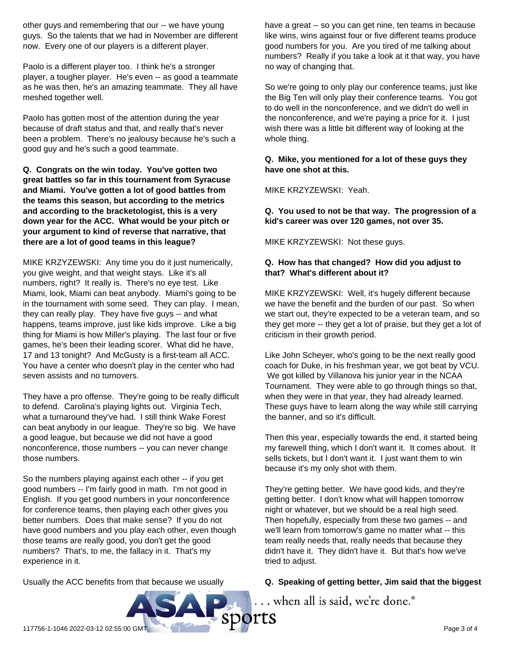other guys and remembering that our -- we have young guys. So the talents that we had in November are different now. Every one of our players is a different player.

Paolo is a different player too. I think he's a stronger player, a tougher player. He's even -- as good a teammate as he was then, he's an amazing teammate. They all have meshed together well.

Paolo has gotten most of the attention during the year because of draft status and that, and really that's never been a problem. There's no jealousy because he's such a good guy and he's such a good teammate.

**Q. Congrats on the win today. You've gotten two great battles so far in this tournament from Syracuse and Miami. You've gotten a lot of good battles from the teams this season, but according to the metrics and according to the bracketologist, this is a very down year for the ACC. What would be your pitch or your argument to kind of reverse that narrative, that there are a lot of good teams in this league?**

MIKE KRZYZEWSKI: Any time you do it just numerically, you give weight, and that weight stays. Like it's all numbers, right? It really is. There's no eye test. Like Miami, look, Miami can beat anybody. Miami's going to be in the tournament with some seed. They can play. I mean, they can really play. They have five guys -- and what happens, teams improve, just like kids improve. Like a big thing for Miami is how Miller's playing. The last four or five games, he's been their leading scorer. What did he have, 17 and 13 tonight? And McGusty is a first-team all ACC. You have a center who doesn't play in the center who had seven assists and no turnovers.

They have a pro offense. They're going to be really difficult to defend. Carolina's playing lights out. Virginia Tech, what a turnaround they've had. I still think Wake Forest can beat anybody in our league. They're so big. We have a good league, but because we did not have a good nonconference, those numbers -- you can never change those numbers.

So the numbers playing against each other -- if you get good numbers -- I'm fairly good in math. I'm not good in English. If you get good numbers in your nonconference for conference teams, then playing each other gives you better numbers. Does that make sense? If you do not have good numbers and you play each other, even though those teams are really good, you don't get the good numbers? That's, to me, the fallacy in it. That's my experience in it.

Usually the ACC benefits from that because we usually

have a great -- so you can get nine, ten teams in because like wins, wins against four or five different teams produce good numbers for you. Are you tired of me talking about numbers? Really if you take a look at it that way, you have no way of changing that.

So we're going to only play our conference teams, just like the Big Ten will only play their conference teams. You got to do well in the nonconference, and we didn't do well in the nonconference, and we're paying a price for it. I just wish there was a little bit different way of looking at the whole thing.

**Q. Mike, you mentioned for a lot of these guys they have one shot at this.**

MIKE KRZYZEWSKI: Yeah.

**Q. You used to not be that way. The progression of a kid's career was over 120 games, not over 35.**

MIKE KRZYZEWSKI: Not these guys.

#### **Q. How has that changed? How did you adjust to that? What's different about it?**

MIKE KRZYZEWSKI: Well, it's hugely different because we have the benefit and the burden of our past. So when we start out, they're expected to be a veteran team, and so they get more -- they get a lot of praise, but they get a lot of criticism in their growth period.

Like John Scheyer, who's going to be the next really good coach for Duke, in his freshman year, we got beat by VCU. We got killed by Villanova his junior year in the NCAA Tournament. They were able to go through things so that, when they were in that year, they had already learned. These guys have to learn along the way while still carrying the banner, and so it's difficult.

Then this year, especially towards the end, it started being my farewell thing, which I don't want it. It comes about. It sells tickets, but I don't want it. I just want them to win because it's my only shot with them.

They're getting better. We have good kids, and they're getting better. I don't know what will happen tomorrow night or whatever, but we should be a real high seed. Then hopefully, especially from these two games -- and we'll learn from tomorrow's game no matter what -- this team really needs that, really needs that because they didn't have it. They didn't have it. But that's how we've tried to adjust.

#### **Q. Speaking of getting better, Jim said that the biggest**

... when all is said, we're done.®